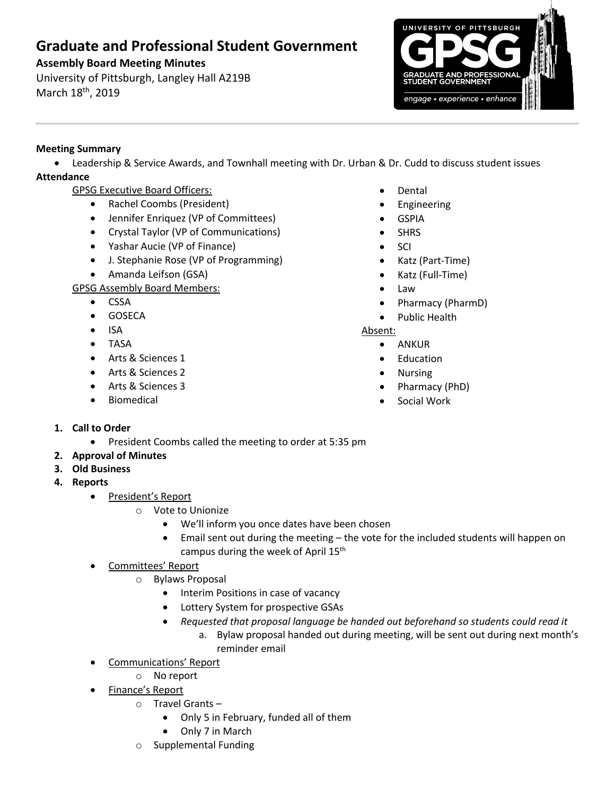# **Graduate and Professional Student Government**

## **Assembly Board Meeting Minutes**

University of Pittsburgh, Langley Hall A219B March 18<sup>th</sup>, 2019



## **Meeting Summary**

• Leadership & Service Awards, and Townhall meeting with Dr. Urban & Dr. Cudd to discuss student issues **Attendance**

- GPSG Executive Board Officers:
	- Rachel Coombs (President)
	- Jennifer Enriquez (VP of Committees)
	- Crystal Taylor (VP of Communications)
	- Yashar Aucie (VP of Finance)
	- J. Stephanie Rose (VP of Programming)
	- Amanda Leifson (GSA)

GPSG Assembly Board Members:

- CSSA
- GOSECA
- ISA
- TASA
- Arts & Sciences 1
- Arts & Sciences 2
- Arts & Sciences 3
- **Biomedical**
- **Dental**
- **Engineering**
- **GSPIA**
- **SHRS**
- SCI
- Katz (Part-Time)
- Katz (Full-Time)
- Law
- Pharmacy (PharmD)
- Public Health

Absent:

- ANKUR
- Education
- Nursing
- Pharmacy (PhD)
- Social Work

- **1. Call to Order**
	- President Coombs called the meeting to order at 5:35 pm
- **2. Approval of Minutes**
- **3. Old Business**
- **4. Reports** 
	- President's Report
		- o Vote to Unionize
			- We'll inform you once dates have been chosen
			- Email sent out during the meeting the vote for the included students will happen on campus during the week of April 15<sup>th</sup>
	- Committees' Report
		- o Bylaws Proposal
			- Interim Positions in case of vacancy
			- Lottery System for prospective GSAs
			- *Requested that proposal language be handed out beforehand so students could read it*
				- a. Bylaw proposal handed out during meeting, will be sent out during next month's reminder email
	- Communications' Report
		- o No report
	- Finance's Report
		- o Travel Grants
			- Only 5 in February, funded all of them
			- Only 7 in March
		- o Supplemental Funding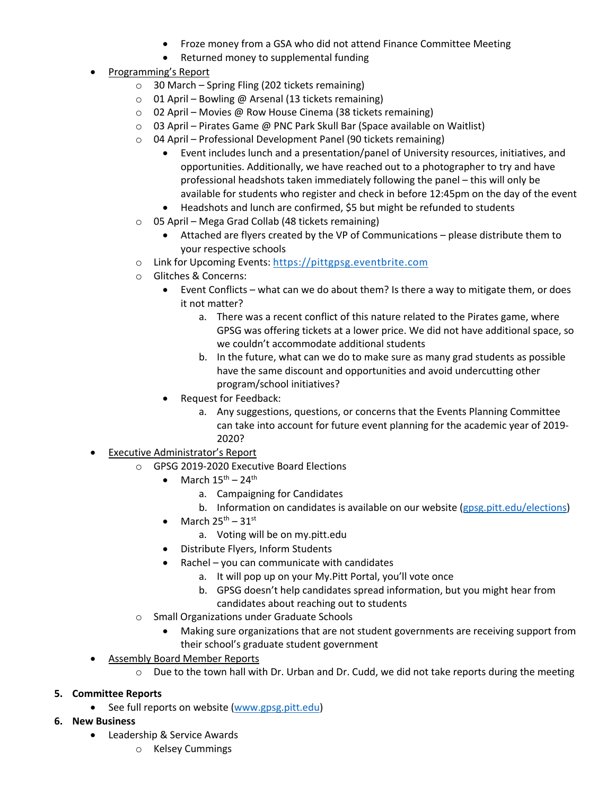- Froze money from a GSA who did not attend Finance Committee Meeting
- Returned money to supplemental funding
- Programming's Report
	- $\circ$  30 March Spring Fling (202 tickets remaining)
	- o 01 April Bowling @ Arsenal (13 tickets remaining)
	- o 02 April Movies @ Row House Cinema (38 tickets remaining)
	- o 03 April Pirates Game @ PNC Park Skull Bar (Space available on Waitlist)
	- o 04 April Professional Development Panel (90 tickets remaining)
		- Event includes lunch and a presentation/panel of University resources, initiatives, and opportunities. Additionally, we have reached out to a photographer to try and have professional headshots taken immediately following the panel – this will only be available for students who register and check in before 12:45pm on the day of the event
		- Headshots and lunch are confirmed, \$5 but might be refunded to students
	- o 05 April Mega Grad Collab (48 tickets remaining)
		- Attached are flyers created by the VP of Communications please distribute them to your respective schools
	- o Link for Upcoming Events: https://pittgpsg.eventbrite.com
	- o Glitches & Concerns:
		- Event Conflicts what can we do about them? Is there a way to mitigate them, or does it not matter?
			- a. There was a recent conflict of this nature related to the Pirates game, where GPSG was offering tickets at a lower price. We did not have additional space, so we couldn't accommodate additional students
			- b. In the future, what can we do to make sure as many grad students as possible have the same discount and opportunities and avoid undercutting other program/school initiatives?
		- Request for Feedback:
			- a. Any suggestions, questions, or concerns that the Events Planning Committee can take into account for future event planning for the academic year of 2019- 2020?
- Executive Administrator's Report
	- o GPSG 2019-2020 Executive Board Elections
		- March  $15^{\text{th}} 24^{\text{th}}$ 
			- a. Campaigning for Candidates
			- b. Information on candidates is available on our website (gpsg.pitt.edu/elections)
		- March  $25^{th} 31^{st}$ 
			- a. Voting will be on my.pitt.edu
		- Distribute Flyers, Inform Students
		- Rachel you can communicate with candidates
			- a. It will pop up on your My.Pitt Portal, you'll vote once
			- b. GPSG doesn't help candidates spread information, but you might hear from candidates about reaching out to students
	- o Small Organizations under Graduate Schools
		- Making sure organizations that are not student governments are receiving support from their school's graduate student government
- Assembly Board Member Reports
	- $\circ$  Due to the town hall with Dr. Urban and Dr. Cudd, we did not take reports during the meeting

#### **5. Committee Reports**

- See full reports on website (www.gpsg.pitt.edu)
- **6. New Business**
	- Leadership & Service Awards
		- o Kelsey Cummings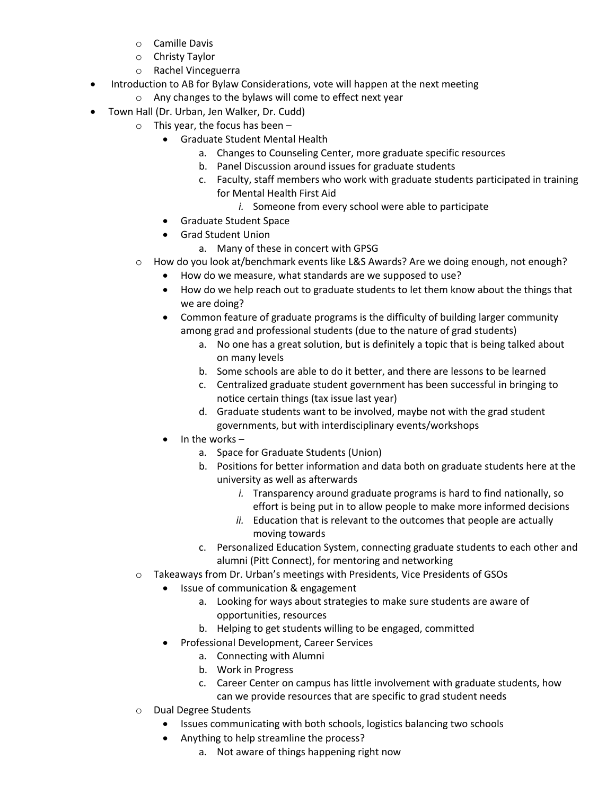- o Camille Davis
- o Christy Taylor
- o Rachel Vinceguerra
- Introduction to AB for Bylaw Considerations, vote will happen at the next meeting
	- o Any changes to the bylaws will come to effect next year
- Town Hall (Dr. Urban, Jen Walker, Dr. Cudd)
	- o This year, the focus has been
		- Graduate Student Mental Health
			- a. Changes to Counseling Center, more graduate specific resources
			- b. Panel Discussion around issues for graduate students
			- c. Faculty, staff members who work with graduate students participated in training for Mental Health First Aid
				- *i.* Someone from every school were able to participate
		- Graduate Student Space
		- Grad Student Union
			- a. Many of these in concert with GPSG
		- How do you look at/benchmark events like L&S Awards? Are we doing enough, not enough?
			- How do we measure, what standards are we supposed to use?
			- How do we help reach out to graduate students to let them know about the things that we are doing?
			- Common feature of graduate programs is the difficulty of building larger community among grad and professional students (due to the nature of grad students)
				- a. No one has a great solution, but is definitely a topic that is being talked about on many levels
				- b. Some schools are able to do it better, and there are lessons to be learned
				- c. Centralized graduate student government has been successful in bringing to notice certain things (tax issue last year)
				- d. Graduate students want to be involved, maybe not with the grad student governments, but with interdisciplinary events/workshops
			- In the works  $$ 
				- a. Space for Graduate Students (Union)
				- b. Positions for better information and data both on graduate students here at the university as well as afterwards
					- *i.* Transparency around graduate programs is hard to find nationally, so effort is being put in to allow people to make more informed decisions
					- *ii.* Education that is relevant to the outcomes that people are actually moving towards
				- c. Personalized Education System, connecting graduate students to each other and alumni (Pitt Connect), for mentoring and networking
	- Takeaways from Dr. Urban's meetings with Presidents, Vice Presidents of GSOs
		- Issue of communication & engagement
			- a. Looking for ways about strategies to make sure students are aware of opportunities, resources
			- b. Helping to get students willing to be engaged, committed
		- Professional Development, Career Services
			- a. Connecting with Alumni
			- b. Work in Progress
			- c. Career Center on campus has little involvement with graduate students, how can we provide resources that are specific to grad student needs
	- o Dual Degree Students
		- Issues communicating with both schools, logistics balancing two schools
		- Anything to help streamline the process?
			- a. Not aware of things happening right now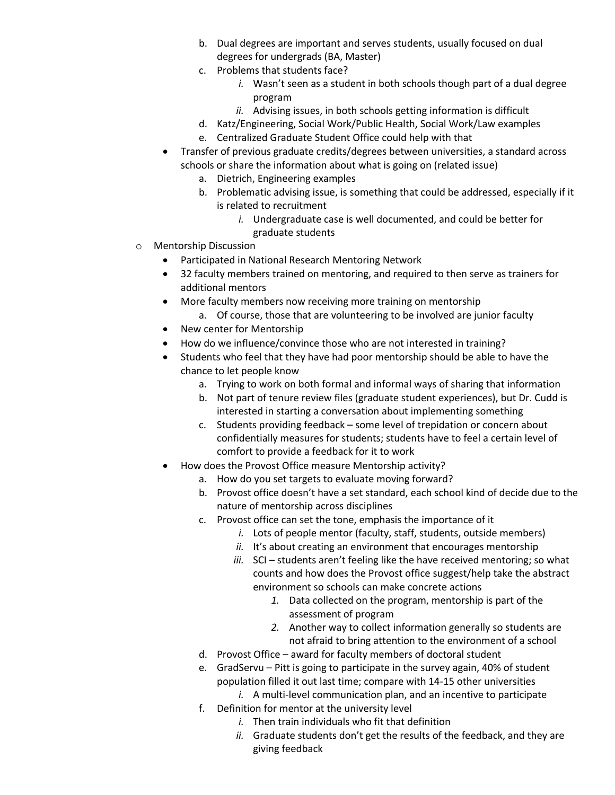- b. Dual degrees are important and serves students, usually focused on dual degrees for undergrads (BA, Master)
- c. Problems that students face?
	- *i.* Wasn't seen as a student in both schools though part of a dual degree program
	- *ii.* Advising issues, in both schools getting information is difficult
- d. Katz/Engineering, Social Work/Public Health, Social Work/Law examples
- e. Centralized Graduate Student Office could help with that
- Transfer of previous graduate credits/degrees between universities, a standard across schools or share the information about what is going on (related issue)
	- a. Dietrich, Engineering examples
	- b. Problematic advising issue, is something that could be addressed, especially if it is related to recruitment
		- *i.* Undergraduate case is well documented, and could be better for graduate students
- o Mentorship Discussion
	- Participated in National Research Mentoring Network
	- 32 faculty members trained on mentoring, and required to then serve as trainers for additional mentors
	- More faculty members now receiving more training on mentorship
		- a. Of course, those that are volunteering to be involved are junior faculty
	- New center for Mentorship
	- How do we influence/convince those who are not interested in training?
	- Students who feel that they have had poor mentorship should be able to have the chance to let people know
		- a. Trying to work on both formal and informal ways of sharing that information
		- b. Not part of tenure review files (graduate student experiences), but Dr. Cudd is interested in starting a conversation about implementing something
		- c. Students providing feedback some level of trepidation or concern about confidentially measures for students; students have to feel a certain level of comfort to provide a feedback for it to work
	- How does the Provost Office measure Mentorship activity?
		- a. How do you set targets to evaluate moving forward?
		- b. Provost office doesn't have a set standard, each school kind of decide due to the nature of mentorship across disciplines
		- c. Provost office can set the tone, emphasis the importance of it
			- *i.* Lots of people mentor (faculty, staff, students, outside members)
			- ii. It's about creating an environment that encourages mentorship
			- *iii.* SCI students aren't feeling like the have received mentoring; so what counts and how does the Provost office suggest/help take the abstract environment so schools can make concrete actions
				- *1.* Data collected on the program, mentorship is part of the assessment of program
				- *2.* Another way to collect information generally so students are not afraid to bring attention to the environment of a school
		- d. Provost Office award for faculty members of doctoral student
		- e. GradServu Pitt is going to participate in the survey again, 40% of student population filled it out last time; compare with 14-15 other universities *i.* A multi-level communication plan, and an incentive to participate
		- f. Definition for mentor at the university level
			- *i.* Then train individuals who fit that definition
			- *ii.* Graduate students don't get the results of the feedback, and they are giving feedback